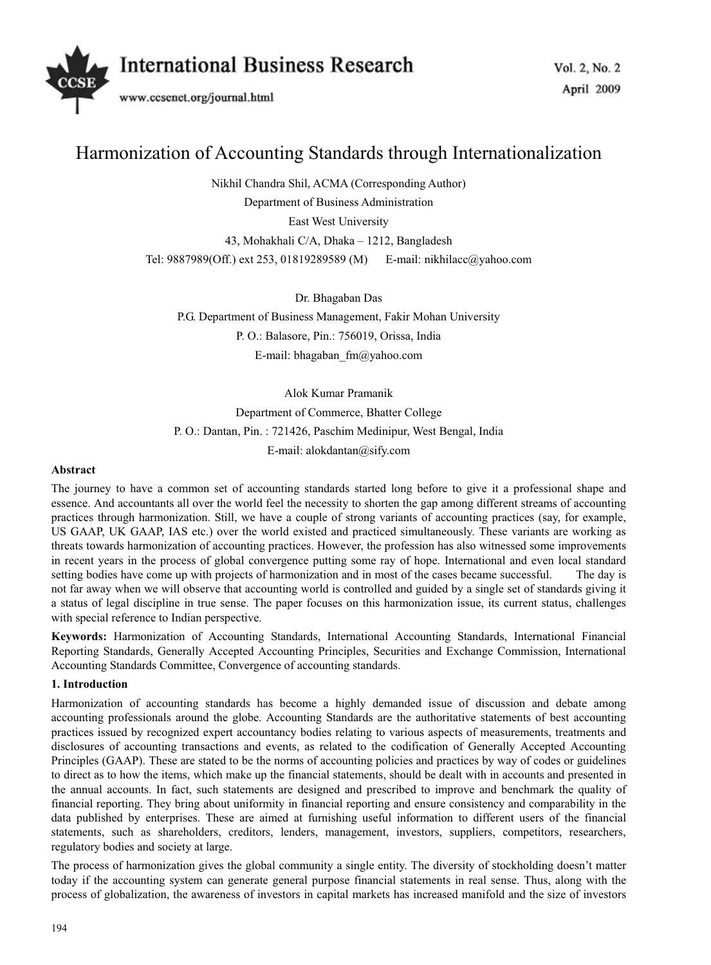

# Harmonization of Accounting Standards through Internationalization

Nikhil Chandra Shil, ACMA (Corresponding Author) Department of Business Administration East West University 43, Mohakhali C/A, Dhaka – 1212, Bangladesh Tel: 9887989(Off.) ext 253, 01819289589 (M) E-mail: nikhilacc@yahoo.com

Dr. Bhagaban Das

P.G. Department of Business Management, Fakir Mohan University

P. O.: Balasore, Pin.: 756019, Orissa, India E-mail: bhagaban\_fm@yahoo.com

Alok Kumar Pramanik Department of Commerce, Bhatter College P. O.: Dantan, Pin. : 721426, Paschim Medinipur, West Bengal, India E-mail: alokdantan@sify.com

# **Abstract**

The journey to have a common set of accounting standards started long before to give it a professional shape and essence. And accountants all over the world feel the necessity to shorten the gap among different streams of accounting practices through harmonization. Still, we have a couple of strong variants of accounting practices (say, for example, US GAAP, UK GAAP, IAS etc.) over the world existed and practiced simultaneously. These variants are working as threats towards harmonization of accounting practices. However, the profession has also witnessed some improvements in recent years in the process of global convergence putting some ray of hope. International and even local standard setting bodies have come up with projects of harmonization and in most of the cases became successful. The day is not far away when we will observe that accounting world is controlled and guided by a single set of standards giving it a status of legal discipline in true sense. The paper focuses on this harmonization issue, its current status, challenges with special reference to Indian perspective.

**Keywords:** Harmonization of Accounting Standards, International Accounting Standards, International Financial Reporting Standards, Generally Accepted Accounting Principles, Securities and Exchange Commission, International Accounting Standards Committee, Convergence of accounting standards.

# **1. Introduction**

Harmonization of accounting standards has become a highly demanded issue of discussion and debate among accounting professionals around the globe. Accounting Standards are the authoritative statements of best accounting practices issued by recognized expert accountancy bodies relating to various aspects of measurements, treatments and disclosures of accounting transactions and events, as related to the codification of Generally Accepted Accounting Principles (GAAP). These are stated to be the norms of accounting policies and practices by way of codes or guidelines to direct as to how the items, which make up the financial statements, should be dealt with in accounts and presented in the annual accounts. In fact, such statements are designed and prescribed to improve and benchmark the quality of financial reporting. They bring about uniformity in financial reporting and ensure consistency and comparability in the data published by enterprises. These are aimed at furnishing useful information to different users of the financial statements, such as shareholders, creditors, lenders, management, investors, suppliers, competitors, researchers, regulatory bodies and society at large.

The process of harmonization gives the global community a single entity. The diversity of stockholding doesn't matter today if the accounting system can generate general purpose financial statements in real sense. Thus, along with the process of globalization, the awareness of investors in capital markets has increased manifold and the size of investors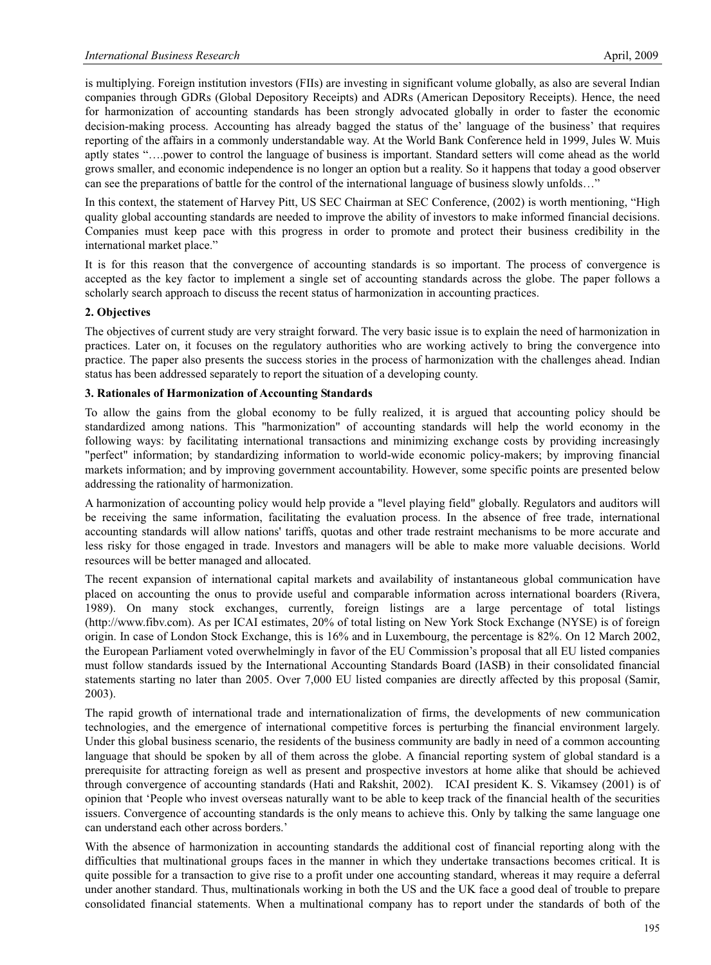is multiplying. Foreign institution investors (FIIs) are investing in significant volume globally, as also are several Indian companies through GDRs (Global Depository Receipts) and ADRs (American Depository Receipts). Hence, the need for harmonization of accounting standards has been strongly advocated globally in order to faster the economic decision-making process. Accounting has already bagged the status of the' language of the business' that requires reporting of the affairs in a commonly understandable way. At the World Bank Conference held in 1999, Jules W. Muis aptly states "….power to control the language of business is important. Standard setters will come ahead as the world grows smaller, and economic independence is no longer an option but a reality. So it happens that today a good observer can see the preparations of battle for the control of the international language of business slowly unfolds…"

In this context, the statement of Harvey Pitt, US SEC Chairman at SEC Conference, (2002) is worth mentioning, "High quality global accounting standards are needed to improve the ability of investors to make informed financial decisions. Companies must keep pace with this progress in order to promote and protect their business credibility in the international market place."

It is for this reason that the convergence of accounting standards is so important. The process of convergence is accepted as the key factor to implement a single set of accounting standards across the globe. The paper follows a scholarly search approach to discuss the recent status of harmonization in accounting practices.

# **2. Objectives**

The objectives of current study are very straight forward. The very basic issue is to explain the need of harmonization in practices. Later on, it focuses on the regulatory authorities who are working actively to bring the convergence into practice. The paper also presents the success stories in the process of harmonization with the challenges ahead. Indian status has been addressed separately to report the situation of a developing county.

## **3. Rationales of Harmonization of Accounting Standards**

To allow the gains from the global economy to be fully realized, it is argued that accounting policy should be standardized among nations. This "harmonization" of accounting standards will help the world economy in the following ways: by facilitating international transactions and minimizing exchange costs by providing increasingly "perfect" information; by standardizing information to world-wide economic policy-makers; by improving financial markets information; and by improving government accountability. However, some specific points are presented below addressing the rationality of harmonization.

A harmonization of accounting policy would help provide a "level playing field" globally. Regulators and auditors will be receiving the same information, facilitating the evaluation process. In the absence of free trade, international accounting standards will allow nations' tariffs, quotas and other trade restraint mechanisms to be more accurate and less risky for those engaged in trade. Investors and managers will be able to make more valuable decisions. World resources will be better managed and allocated.

The recent expansion of international capital markets and availability of instantaneous global communication have placed on accounting the onus to provide useful and comparable information across international boarders (Rivera, 1989). On many stock exchanges, currently, foreign listings are a large percentage of total listings (http://www.fibv.com). As per ICAI estimates, 20% of total listing on New York Stock Exchange (NYSE) is of foreign origin. In case of London Stock Exchange, this is 16% and in Luxembourg, the percentage is 82%. On 12 March 2002, the European Parliament voted overwhelmingly in favor of the EU Commission's proposal that all EU listed companies must follow standards issued by the International Accounting Standards Board (IASB) in their consolidated financial statements starting no later than 2005. Over 7,000 EU listed companies are directly affected by this proposal (Samir, 2003).

The rapid growth of international trade and internationalization of firms, the developments of new communication technologies, and the emergence of international competitive forces is perturbing the financial environment largely. Under this global business scenario, the residents of the business community are badly in need of a common accounting language that should be spoken by all of them across the globe. A financial reporting system of global standard is a prerequisite for attracting foreign as well as present and prospective investors at home alike that should be achieved through convergence of accounting standards (Hati and Rakshit, 2002). ICAI president K. S. Vikamsey (2001) is of opinion that 'People who invest overseas naturally want to be able to keep track of the financial health of the securities issuers. Convergence of accounting standards is the only means to achieve this. Only by talking the same language one can understand each other across borders.'

With the absence of harmonization in accounting standards the additional cost of financial reporting along with the difficulties that multinational groups faces in the manner in which they undertake transactions becomes critical. It is quite possible for a transaction to give rise to a profit under one accounting standard, whereas it may require a deferral under another standard. Thus, multinationals working in both the US and the UK face a good deal of trouble to prepare consolidated financial statements. When a multinational company has to report under the standards of both of the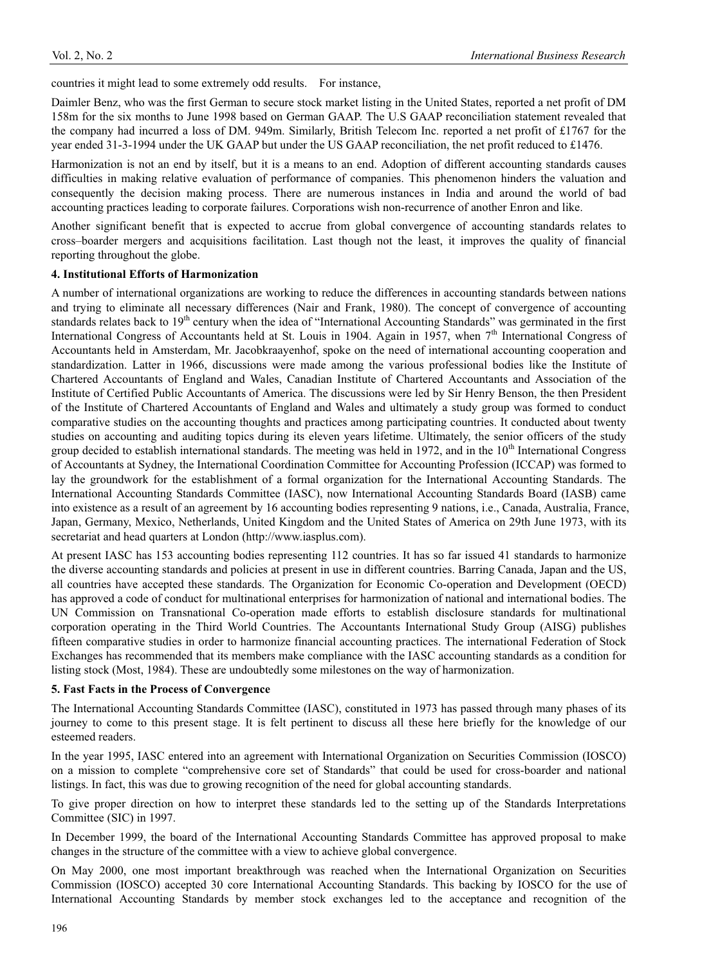countries it might lead to some extremely odd results. For instance,

Daimler Benz, who was the first German to secure stock market listing in the United States, reported a net profit of DM 158m for the six months to June 1998 based on German GAAP. The U.S GAAP reconciliation statement revealed that the company had incurred a loss of DM. 949m. Similarly, British Telecom Inc. reported a net profit of £1767 for the year ended 31-3-1994 under the UK GAAP but under the US GAAP reconciliation, the net profit reduced to £1476.

Harmonization is not an end by itself, but it is a means to an end. Adoption of different accounting standards causes difficulties in making relative evaluation of performance of companies. This phenomenon hinders the valuation and consequently the decision making process. There are numerous instances in India and around the world of bad accounting practices leading to corporate failures. Corporations wish non-recurrence of another Enron and like.

Another significant benefit that is expected to accrue from global convergence of accounting standards relates to cross–boarder mergers and acquisitions facilitation. Last though not the least, it improves the quality of financial reporting throughout the globe.

## **4. Institutional Efforts of Harmonization**

A number of international organizations are working to reduce the differences in accounting standards between nations and trying to eliminate all necessary differences (Nair and Frank, 1980). The concept of convergence of accounting standards relates back to 19<sup>th</sup> century when the idea of "International Accounting Standards" was germinated in the first International Congress of Accountants held at St. Louis in 1904. Again in 1957, when  $7<sup>th</sup>$  International Congress of Accountants held in Amsterdam, Mr. Jacobkraayenhof, spoke on the need of international accounting cooperation and standardization. Latter in 1966, discussions were made among the various professional bodies like the Institute of Chartered Accountants of England and Wales, Canadian Institute of Chartered Accountants and Association of the Institute of Certified Public Accountants of America. The discussions were led by Sir Henry Benson, the then President of the Institute of Chartered Accountants of England and Wales and ultimately a study group was formed to conduct comparative studies on the accounting thoughts and practices among participating countries. It conducted about twenty studies on accounting and auditing topics during its eleven years lifetime. Ultimately, the senior officers of the study group decided to establish international standards. The meeting was held in 1972, and in the  $10<sup>th</sup>$  International Congress of Accountants at Sydney, the International Coordination Committee for Accounting Profession (ICCAP) was formed to lay the groundwork for the establishment of a formal organization for the International Accounting Standards. The International Accounting Standards Committee (IASC), now International Accounting Standards Board (IASB) came into existence as a result of an agreement by 16 accounting bodies representing 9 nations, i.e., Canada, Australia, France, Japan, Germany, Mexico, Netherlands, United Kingdom and the United States of America on 29th June 1973, with its secretariat and head quarters at London (http://www.iasplus.com).

At present IASC has 153 accounting bodies representing 112 countries. It has so far issued 41 standards to harmonize the diverse accounting standards and policies at present in use in different countries. Barring Canada, Japan and the US, all countries have accepted these standards. The Organization for Economic Co-operation and Development (OECD) has approved a code of conduct for multinational enterprises for harmonization of national and international bodies. The UN Commission on Transnational Co-operation made efforts to establish disclosure standards for multinational corporation operating in the Third World Countries. The Accountants International Study Group (AISG) publishes fifteen comparative studies in order to harmonize financial accounting practices. The international Federation of Stock Exchanges has recommended that its members make compliance with the IASC accounting standards as a condition for listing stock (Most, 1984). These are undoubtedly some milestones on the way of harmonization.

#### **5. Fast Facts in the Process of Convergence**

The International Accounting Standards Committee (IASC), constituted in 1973 has passed through many phases of its journey to come to this present stage. It is felt pertinent to discuss all these here briefly for the knowledge of our esteemed readers.

In the year 1995, IASC entered into an agreement with International Organization on Securities Commission (IOSCO) on a mission to complete "comprehensive core set of Standards" that could be used for cross-boarder and national listings. In fact, this was due to growing recognition of the need for global accounting standards.

To give proper direction on how to interpret these standards led to the setting up of the Standards Interpretations Committee (SIC) in 1997.

In December 1999, the board of the International Accounting Standards Committee has approved proposal to make changes in the structure of the committee with a view to achieve global convergence.

On May 2000, one most important breakthrough was reached when the International Organization on Securities Commission (IOSCO) accepted 30 core International Accounting Standards. This backing by IOSCO for the use of International Accounting Standards by member stock exchanges led to the acceptance and recognition of the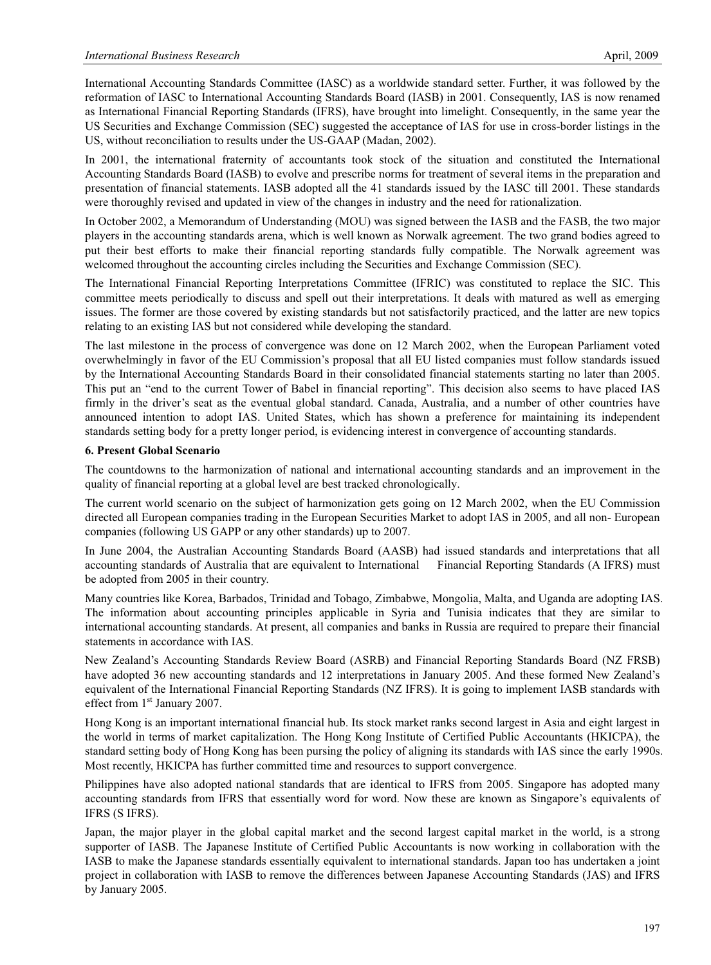International Accounting Standards Committee (IASC) as a worldwide standard setter. Further, it was followed by the reformation of IASC to International Accounting Standards Board (IASB) in 2001. Consequently, IAS is now renamed as International Financial Reporting Standards (IFRS), have brought into limelight. Consequently, in the same year the US Securities and Exchange Commission (SEC) suggested the acceptance of IAS for use in cross-border listings in the US, without reconciliation to results under the US-GAAP (Madan, 2002).

In 2001, the international fraternity of accountants took stock of the situation and constituted the International Accounting Standards Board (IASB) to evolve and prescribe norms for treatment of several items in the preparation and presentation of financial statements. IASB adopted all the 41 standards issued by the IASC till 2001. These standards were thoroughly revised and updated in view of the changes in industry and the need for rationalization.

In October 2002, a Memorandum of Understanding (MOU) was signed between the IASB and the FASB, the two major players in the accounting standards arena, which is well known as Norwalk agreement. The two grand bodies agreed to put their best efforts to make their financial reporting standards fully compatible. The Norwalk agreement was welcomed throughout the accounting circles including the Securities and Exchange Commission (SEC).

The International Financial Reporting Interpretations Committee (IFRIC) was constituted to replace the SIC. This committee meets periodically to discuss and spell out their interpretations. It deals with matured as well as emerging issues. The former are those covered by existing standards but not satisfactorily practiced, and the latter are new topics relating to an existing IAS but not considered while developing the standard.

The last milestone in the process of convergence was done on 12 March 2002, when the European Parliament voted overwhelmingly in favor of the EU Commission's proposal that all EU listed companies must follow standards issued by the International Accounting Standards Board in their consolidated financial statements starting no later than 2005. This put an "end to the current Tower of Babel in financial reporting". This decision also seems to have placed IAS firmly in the driver's seat as the eventual global standard. Canada, Australia, and a number of other countries have announced intention to adopt IAS. United States, which has shown a preference for maintaining its independent standards setting body for a pretty longer period, is evidencing interest in convergence of accounting standards.

# **6. Present Global Scenario**

The countdowns to the harmonization of national and international accounting standards and an improvement in the quality of financial reporting at a global level are best tracked chronologically.

The current world scenario on the subject of harmonization gets going on 12 March 2002, when the EU Commission directed all European companies trading in the European Securities Market to adopt IAS in 2005, and all non- European companies (following US GAPP or any other standards) up to 2007.

In June 2004, the Australian Accounting Standards Board (AASB) had issued standards and interpretations that all accounting standards of Australia that are equivalent to International Financial Reporting Standards (A IFRS) must be adopted from 2005 in their country.

Many countries like Korea, Barbados, Trinidad and Tobago, Zimbabwe, Mongolia, Malta, and Uganda are adopting IAS. The information about accounting principles applicable in Syria and Tunisia indicates that they are similar to international accounting standards. At present, all companies and banks in Russia are required to prepare their financial statements in accordance with IAS.

New Zealand's Accounting Standards Review Board (ASRB) and Financial Reporting Standards Board (NZ FRSB) have adopted 36 new accounting standards and 12 interpretations in January 2005. And these formed New Zealand's equivalent of the International Financial Reporting Standards (NZ IFRS). It is going to implement IASB standards with effect from 1<sup>st</sup> January 2007.

Hong Kong is an important international financial hub. Its stock market ranks second largest in Asia and eight largest in the world in terms of market capitalization. The Hong Kong Institute of Certified Public Accountants (HKICPA), the standard setting body of Hong Kong has been pursing the policy of aligning its standards with IAS since the early 1990s. Most recently, HKICPA has further committed time and resources to support convergence.

Philippines have also adopted national standards that are identical to IFRS from 2005. Singapore has adopted many accounting standards from IFRS that essentially word for word. Now these are known as Singapore's equivalents of IFRS (S IFRS).

Japan, the major player in the global capital market and the second largest capital market in the world, is a strong supporter of IASB. The Japanese Institute of Certified Public Accountants is now working in collaboration with the IASB to make the Japanese standards essentially equivalent to international standards. Japan too has undertaken a joint project in collaboration with IASB to remove the differences between Japanese Accounting Standards (JAS) and IFRS by January 2005.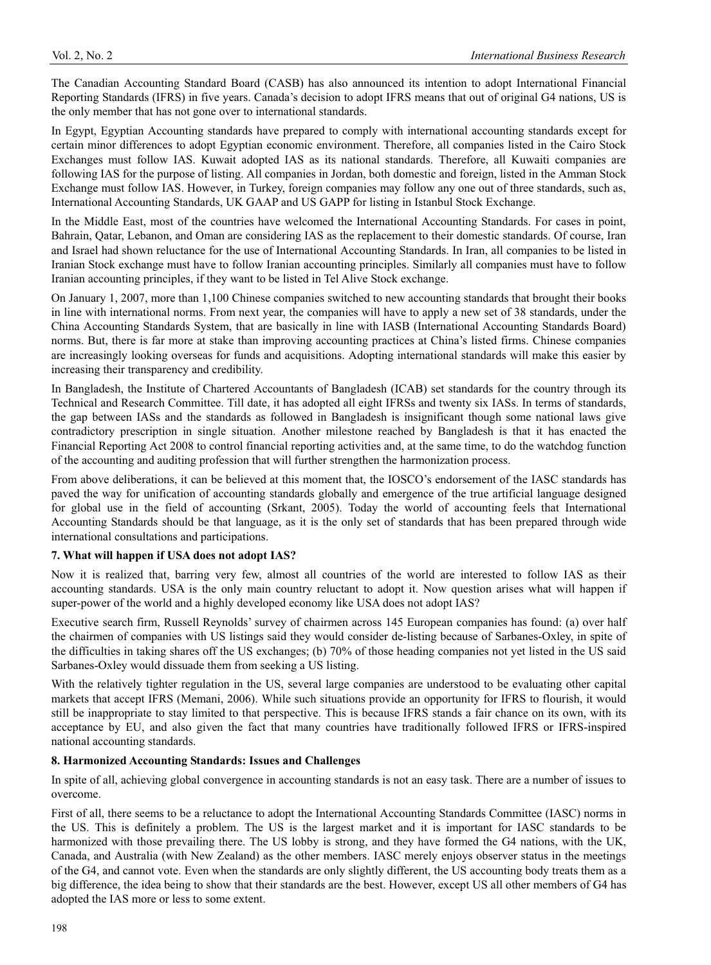The Canadian Accounting Standard Board (CASB) has also announced its intention to adopt International Financial Reporting Standards (IFRS) in five years. Canada's decision to adopt IFRS means that out of original G4 nations, US is the only member that has not gone over to international standards.

In Egypt, Egyptian Accounting standards have prepared to comply with international accounting standards except for certain minor differences to adopt Egyptian economic environment. Therefore, all companies listed in the Cairo Stock Exchanges must follow IAS. Kuwait adopted IAS as its national standards. Therefore, all Kuwaiti companies are following IAS for the purpose of listing. All companies in Jordan, both domestic and foreign, listed in the Amman Stock Exchange must follow IAS. However, in Turkey, foreign companies may follow any one out of three standards, such as, International Accounting Standards, UK GAAP and US GAPP for listing in Istanbul Stock Exchange.

In the Middle East, most of the countries have welcomed the International Accounting Standards. For cases in point, Bahrain, Qatar, Lebanon, and Oman are considering IAS as the replacement to their domestic standards. Of course, Iran and Israel had shown reluctance for the use of International Accounting Standards. In Iran, all companies to be listed in Iranian Stock exchange must have to follow Iranian accounting principles. Similarly all companies must have to follow Iranian accounting principles, if they want to be listed in Tel Alive Stock exchange.

On January 1, 2007, more than 1,100 Chinese companies switched to new accounting standards that brought their books in line with international norms. From next year, the companies will have to apply a new set of 38 standards, under the China Accounting Standards System, that are basically in line with IASB (International Accounting Standards Board) norms. But, there is far more at stake than improving accounting practices at China's listed firms. Chinese companies are increasingly looking overseas for funds and acquisitions. Adopting international standards will make this easier by increasing their transparency and credibility.

In Bangladesh, the Institute of Chartered Accountants of Bangladesh (ICAB) set standards for the country through its Technical and Research Committee. Till date, it has adopted all eight IFRSs and twenty six IASs. In terms of standards, the gap between IASs and the standards as followed in Bangladesh is insignificant though some national laws give contradictory prescription in single situation. Another milestone reached by Bangladesh is that it has enacted the Financial Reporting Act 2008 to control financial reporting activities and, at the same time, to do the watchdog function of the accounting and auditing profession that will further strengthen the harmonization process.

From above deliberations, it can be believed at this moment that, the IOSCO's endorsement of the IASC standards has paved the way for unification of accounting standards globally and emergence of the true artificial language designed for global use in the field of accounting (Srkant, 2005). Today the world of accounting feels that International Accounting Standards should be that language, as it is the only set of standards that has been prepared through wide international consultations and participations.

# **7. What will happen if USA does not adopt IAS?**

Now it is realized that, barring very few, almost all countries of the world are interested to follow IAS as their accounting standards. USA is the only main country reluctant to adopt it. Now question arises what will happen if super-power of the world and a highly developed economy like USA does not adopt IAS?

Executive search firm, Russell Reynolds' survey of chairmen across 145 European companies has found: (a) over half the chairmen of companies with US listings said they would consider de-listing because of Sarbanes-Oxley, in spite of the difficulties in taking shares off the US exchanges; (b) 70% of those heading companies not yet listed in the US said Sarbanes-Oxley would dissuade them from seeking a US listing.

With the relatively tighter regulation in the US, several large companies are understood to be evaluating other capital markets that accept IFRS (Memani, 2006). While such situations provide an opportunity for IFRS to flourish, it would still be inappropriate to stay limited to that perspective. This is because IFRS stands a fair chance on its own, with its acceptance by EU, and also given the fact that many countries have traditionally followed IFRS or IFRS-inspired national accounting standards.

## **8. Harmonized Accounting Standards: Issues and Challenges**

In spite of all, achieving global convergence in accounting standards is not an easy task. There are a number of issues to overcome.

First of all, there seems to be a reluctance to adopt the International Accounting Standards Committee (IASC) norms in the US. This is definitely a problem. The US is the largest market and it is important for IASC standards to be harmonized with those prevailing there. The US lobby is strong, and they have formed the G4 nations, with the UK, Canada, and Australia (with New Zealand) as the other members. IASC merely enjoys observer status in the meetings of the G4, and cannot vote. Even when the standards are only slightly different, the US accounting body treats them as a big difference, the idea being to show that their standards are the best. However, except US all other members of G4 has adopted the IAS more or less to some extent.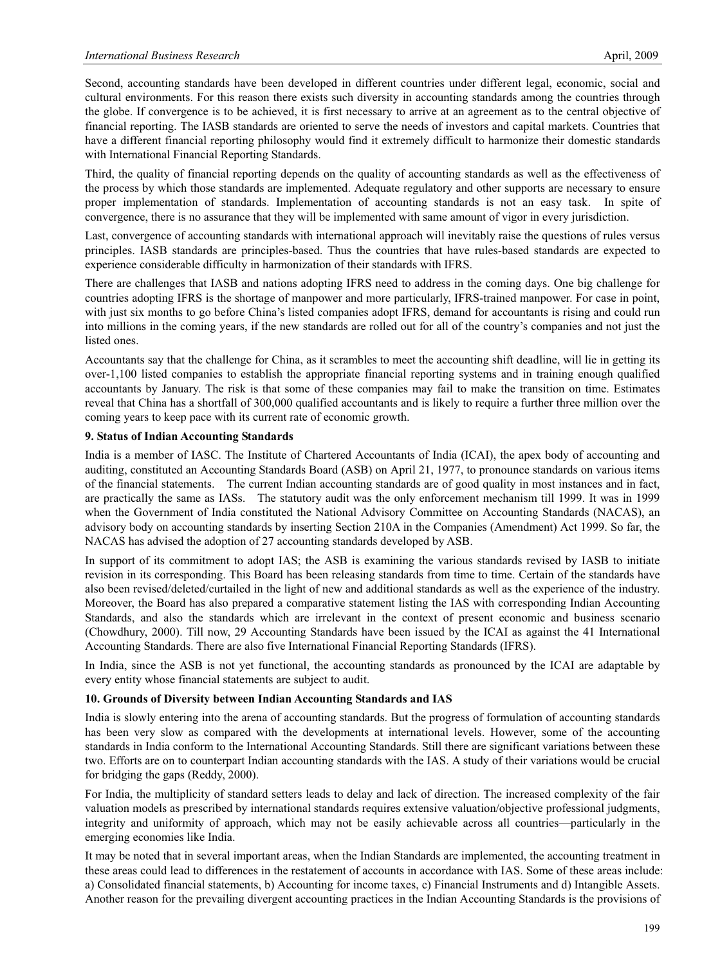Second, accounting standards have been developed in different countries under different legal, economic, social and cultural environments. For this reason there exists such diversity in accounting standards among the countries through the globe. If convergence is to be achieved, it is first necessary to arrive at an agreement as to the central objective of financial reporting. The IASB standards are oriented to serve the needs of investors and capital markets. Countries that have a different financial reporting philosophy would find it extremely difficult to harmonize their domestic standards with International Financial Reporting Standards.

Third, the quality of financial reporting depends on the quality of accounting standards as well as the effectiveness of the process by which those standards are implemented. Adequate regulatory and other supports are necessary to ensure proper implementation of standards. Implementation of accounting standards is not an easy task. In spite of convergence, there is no assurance that they will be implemented with same amount of vigor in every jurisdiction.

Last, convergence of accounting standards with international approach will inevitably raise the questions of rules versus principles. IASB standards are principles-based. Thus the countries that have rules-based standards are expected to experience considerable difficulty in harmonization of their standards with IFRS.

There are challenges that IASB and nations adopting IFRS need to address in the coming days. One big challenge for countries adopting IFRS is the shortage of manpower and more particularly, IFRS-trained manpower. For case in point, with just six months to go before China's listed companies adopt IFRS, demand for accountants is rising and could run into millions in the coming years, if the new standards are rolled out for all of the country's companies and not just the listed ones.

Accountants say that the challenge for China, as it scrambles to meet the accounting shift deadline, will lie in getting its over-1,100 listed companies to establish the appropriate financial reporting systems and in training enough qualified accountants by January. The risk is that some of these companies may fail to make the transition on time. Estimates reveal that China has a shortfall of 300,000 qualified accountants and is likely to require a further three million over the coming years to keep pace with its current rate of economic growth.

#### **9. Status of Indian Accounting Standards**

India is a member of IASC. The Institute of Chartered Accountants of India (ICAI), the apex body of accounting and auditing, constituted an Accounting Standards Board (ASB) on April 21, 1977, to pronounce standards on various items of the financial statements. The current Indian accounting standards are of good quality in most instances and in fact, are practically the same as IASs. The statutory audit was the only enforcement mechanism till 1999. It was in 1999 when the Government of India constituted the National Advisory Committee on Accounting Standards (NACAS), an advisory body on accounting standards by inserting Section 210A in the Companies (Amendment) Act 1999. So far, the NACAS has advised the adoption of 27 accounting standards developed by ASB.

In support of its commitment to adopt IAS; the ASB is examining the various standards revised by IASB to initiate revision in its corresponding. This Board has been releasing standards from time to time. Certain of the standards have also been revised/deleted/curtailed in the light of new and additional standards as well as the experience of the industry. Moreover, the Board has also prepared a comparative statement listing the IAS with corresponding Indian Accounting Standards, and also the standards which are irrelevant in the context of present economic and business scenario (Chowdhury, 2000). Till now, 29 Accounting Standards have been issued by the ICAI as against the 41 International Accounting Standards. There are also five International Financial Reporting Standards (IFRS).

In India, since the ASB is not yet functional, the accounting standards as pronounced by the ICAI are adaptable by every entity whose financial statements are subject to audit.

#### **10. Grounds of Diversity between Indian Accounting Standards and IAS**

India is slowly entering into the arena of accounting standards. But the progress of formulation of accounting standards has been very slow as compared with the developments at international levels. However, some of the accounting standards in India conform to the International Accounting Standards. Still there are significant variations between these two. Efforts are on to counterpart Indian accounting standards with the IAS. A study of their variations would be crucial for bridging the gaps (Reddy, 2000).

For India, the multiplicity of standard setters leads to delay and lack of direction. The increased complexity of the fair valuation models as prescribed by international standards requires extensive valuation/objective professional judgments, integrity and uniformity of approach, which may not be easily achievable across all countries—particularly in the emerging economies like India.

It may be noted that in several important areas, when the Indian Standards are implemented, the accounting treatment in these areas could lead to differences in the restatement of accounts in accordance with IAS. Some of these areas include: a) Consolidated financial statements, b) Accounting for income taxes, c) Financial Instruments and d) Intangible Assets. Another reason for the prevailing divergent accounting practices in the Indian Accounting Standards is the provisions of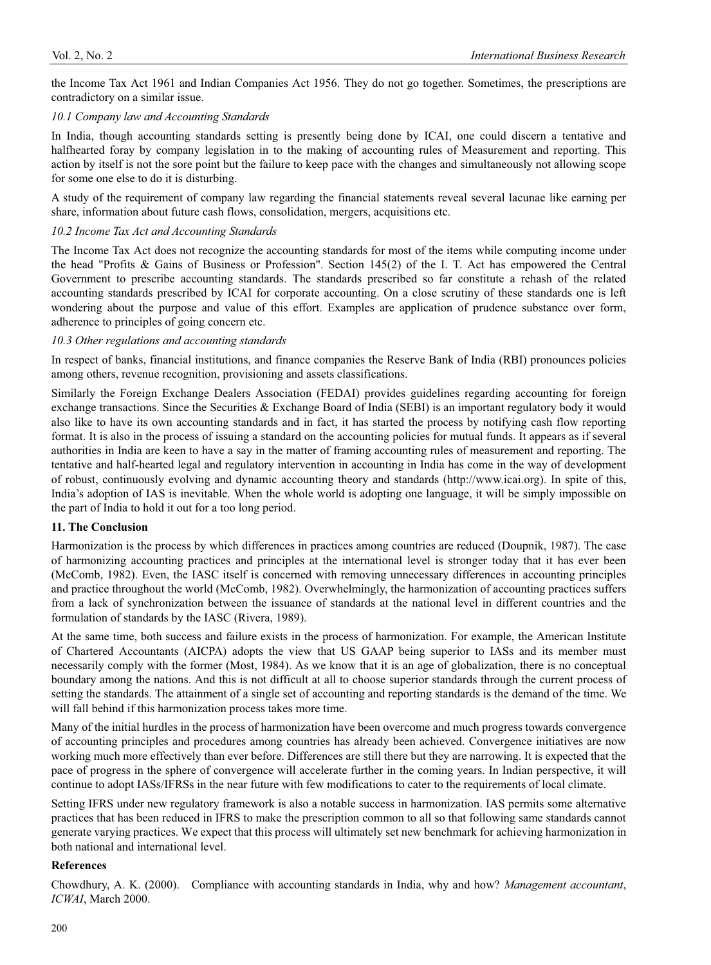the Income Tax Act 1961 and Indian Companies Act 1956. They do not go together. Sometimes, the prescriptions are contradictory on a similar issue.

## *10.1 Company law and Accounting Standards*

In India, though accounting standards setting is presently being done by ICAI, one could discern a tentative and halfhearted foray by company legislation in to the making of accounting rules of Measurement and reporting. This action by itself is not the sore point but the failure to keep pace with the changes and simultaneously not allowing scope for some one else to do it is disturbing.

A study of the requirement of company law regarding the financial statements reveal several lacunae like earning per share, information about future cash flows, consolidation, mergers, acquisitions etc.

#### *10.2 Income Tax Act and Accounting Standards*

The Income Tax Act does not recognize the accounting standards for most of the items while computing income under the head "Profits & Gains of Business or Profession". Section 145(2) of the I. T. Act has empowered the Central Government to prescribe accounting standards. The standards prescribed so far constitute a rehash of the related accounting standards prescribed by ICAI for corporate accounting. On a close scrutiny of these standards one is left wondering about the purpose and value of this effort. Examples are application of prudence substance over form, adherence to principles of going concern etc.

#### *10.3 Other regulations and accounting standards*

In respect of banks, financial institutions, and finance companies the Reserve Bank of India (RBI) pronounces policies among others, revenue recognition, provisioning and assets classifications.

Similarly the Foreign Exchange Dealers Association (FEDAI) provides guidelines regarding accounting for foreign exchange transactions. Since the Securities & Exchange Board of India (SEBI) is an important regulatory body it would also like to have its own accounting standards and in fact, it has started the process by notifying cash flow reporting format. It is also in the process of issuing a standard on the accounting policies for mutual funds. It appears as if several authorities in India are keen to have a say in the matter of framing accounting rules of measurement and reporting. The tentative and half-hearted legal and regulatory intervention in accounting in India has come in the way of development of robust, continuously evolving and dynamic accounting theory and standards (http://www.icai.org). In spite of this, India's adoption of IAS is inevitable. When the whole world is adopting one language, it will be simply impossible on the part of India to hold it out for a too long period.

## **11. The Conclusion**

Harmonization is the process by which differences in practices among countries are reduced (Doupnik, 1987). The case of harmonizing accounting practices and principles at the international level is stronger today that it has ever been (McComb, 1982). Even, the IASC itself is concerned with removing unnecessary differences in accounting principles and practice throughout the world (McComb, 1982). Overwhelmingly, the harmonization of accounting practices suffers from a lack of synchronization between the issuance of standards at the national level in different countries and the formulation of standards by the IASC (Rivera, 1989).

At the same time, both success and failure exists in the process of harmonization. For example, the American Institute of Chartered Accountants (AICPA) adopts the view that US GAAP being superior to IASs and its member must necessarily comply with the former (Most, 1984). As we know that it is an age of globalization, there is no conceptual boundary among the nations. And this is not difficult at all to choose superior standards through the current process of setting the standards. The attainment of a single set of accounting and reporting standards is the demand of the time. We will fall behind if this harmonization process takes more time.

Many of the initial hurdles in the process of harmonization have been overcome and much progress towards convergence of accounting principles and procedures among countries has already been achieved. Convergence initiatives are now working much more effectively than ever before. Differences are still there but they are narrowing. It is expected that the pace of progress in the sphere of convergence will accelerate further in the coming years. In Indian perspective, it will continue to adopt IASs/IFRSs in the near future with few modifications to cater to the requirements of local climate.

Setting IFRS under new regulatory framework is also a notable success in harmonization. IAS permits some alternative practices that has been reduced in IFRS to make the prescription common to all so that following same standards cannot generate varying practices. We expect that this process will ultimately set new benchmark for achieving harmonization in both national and international level.

## **References**

Chowdhury, A. K. (2000). Compliance with accounting standards in India, why and how? *Management accountant*, *ICWAI*, March 2000.